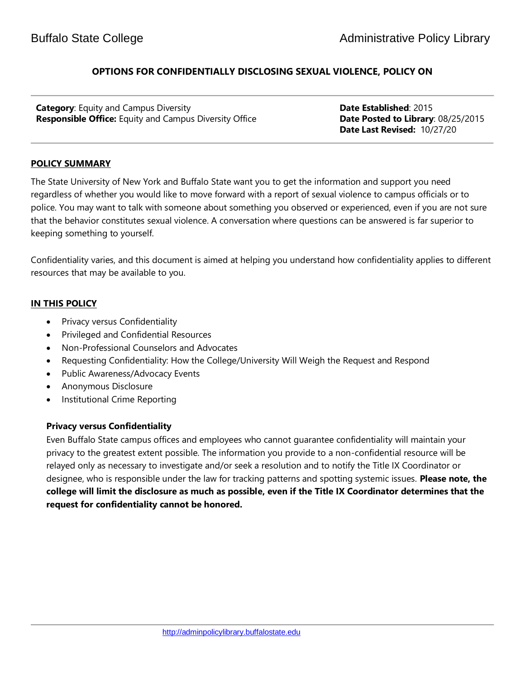# **OPTIONS FOR CONFIDENTIALLY DISCLOSING SEXUAL VIOLENCE, POLICY ON**

**Category:** Equity and Campus Diversity **Date Established: 2015 Responsible Office:** Equity and Campus Diversity Office **Date Posted to Library**: 08/25/2015

 **Date Last Revised:** 10/27/20

# **POLICY SUMMARY**

The State University of New York and Buffalo State want you to get the information and support you need regardless of whether you would like to move forward with a report of sexual violence to campus officials or to police. You may want to talk with someone about something you observed or experienced, even if you are not sure that the behavior constitutes sexual violence. A conversation where questions can be answered is far superior to keeping something to yourself.

Confidentiality varies, and this document is aimed at helping you understand how confidentiality applies to different resources that may be available to you.

# **IN THIS POLICY**

- Privacy versus Confidentiality
- Privileged and Confidential Resources
- Non-Professional Counselors and Advocates
- Requesting Confidentiality: How the College/University Will Weigh the Request and Respond
- Public Awareness/Advocacy Events
- Anonymous Disclosure
- Institutional Crime Reporting

## **Privacy versus Confidentiality**

Even Buffalo State campus offices and employees who cannot guarantee confidentiality will maintain your privacy to the greatest extent possible. The information you provide to a non-confidential resource will be relayed only as necessary to investigate and/or seek a resolution and to notify the Title IX Coordinator or designee, who is responsible under the law for tracking patterns and spotting systemic issues. **Please note, the college will limit the disclosure as much as possible, even if the Title IX Coordinator determines that the request for confidentiality cannot be honored.**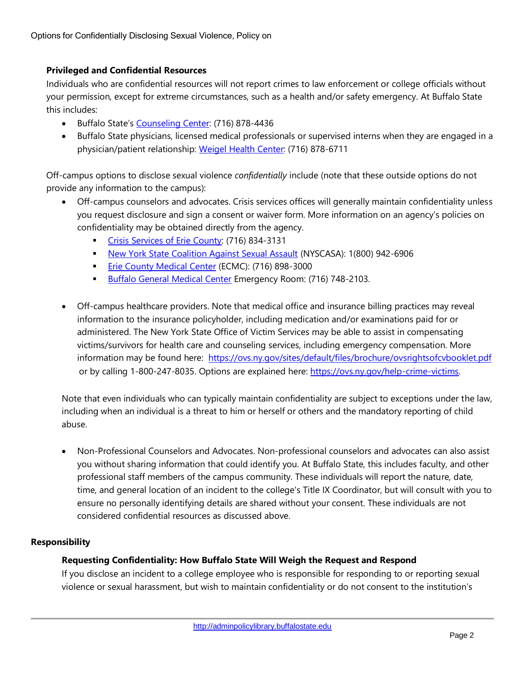# **Privileged and Confidential Resources**

Individuals who are confidential resources will not report crimes to law enforcement or college officials without your permission, except for extreme circumstances, such as a health and/or safety emergency. At Buffalo State this includes:

- Buffalo State's [Counseling Center:](http://counselingcenter.buffalostate.edu/) (716) 878-4436
- Buffalo State physicians, licensed medical professionals or supervised interns when they are engaged in a physician/patient relationship: [Weigel Health Center:](http://weigel.buffalostate.edu/) (716) 878-6711

Off-campus options to disclose sexual violence *confidentially* include (note that these outside options do not provide any information to the campus):

- Off-campus counselors and advocates. Crisis services offices will generally maintain confidentiality unless you request disclosure and sign a consent or waiver form. More information on an agency's policies on confidentiality may be obtained directly from the agency.
	- **[Crisis Services of Erie County:](http://crisisservices.org/) (716) 834-3131**
	- **[New York State Coalition Against Sexual Assault](http://nyscasa.org/) (NYSCASA): 1(800) 942-6906**
	- **[Erie County Medical Center](http://www.ecmc.edu/about-ecmc/) (ECMC): (716) 898-3000**
	- **[Buffalo General Medical Center](http://www.kaleidahealth.org/bgmc/) Emergency Room: (716) 748-2103.**
- Off-campus healthcare providers. Note that medical office and insurance billing practices may reveal information to the insurance policyholder, including medication and/or examinations paid for or administered. The New York State Office of Victim Services may be able to assist in compensating victims/survivors for health care and counseling services, including emergency compensation. More information may be found here: <https://ovs.ny.gov/sites/default/files/brochure/ovsrightsofcvbooklet.pdf> or by calling 1-800-247-8035. Options are explained here: [https://ovs.ny.gov/help-crime-victims.](https://ovs.ny.gov/help-crime-victims)

Note that even individuals who can typically maintain confidentiality are subject to exceptions under the law, including when an individual is a threat to him or herself or others and the mandatory reporting of child abuse.

• Non-Professional Counselors and Advocates. Non-professional counselors and advocates can also assist you without sharing information that could identify you. At Buffalo State, this includes faculty, and other professional staff members of the campus community. These individuals will report the nature, date, time, and general location of an incident to the college's Title IX Coordinator, but will consult with you to ensure no personally identifying details are shared without your consent. These individuals are not considered confidential resources as discussed above.

## **Responsibility**

## **Requesting Confidentiality: How Buffalo State Will Weigh the Request and Respond**

If you disclose an incident to a college employee who is responsible for responding to or reporting sexual violence or sexual harassment, but wish to maintain confidentiality or do not consent to the institution's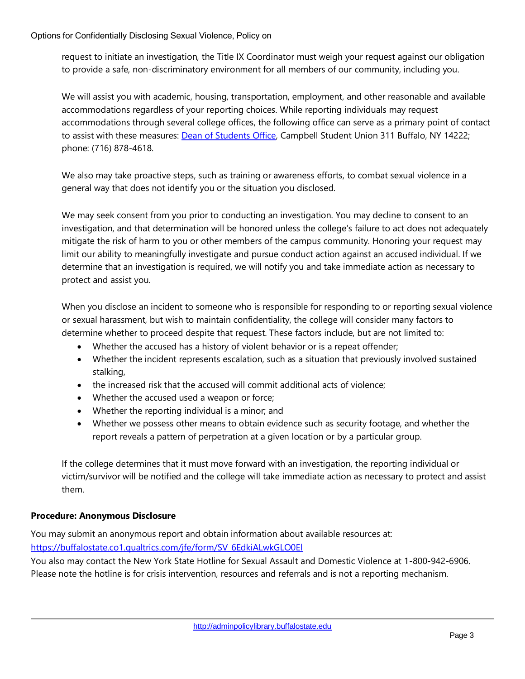request to initiate an investigation, the Title IX Coordinator must weigh your request against our obligation to provide a safe, non-discriminatory environment for all members of our community, including you.

We will assist you with academic, housing, transportation, employment, and other reasonable and available accommodations regardless of your reporting choices. While reporting individuals may request accommodations through several college offices, the following office can serve as a primary point of contact to assist with these measures: [Dean of Students Office,](http://deanofstudents.buffalostate.edu/) Campbell Student Union 311 Buffalo, NY 14222; phone: (716) 878-4618.

We also may take proactive steps, such as training or awareness efforts, to combat sexual violence in a general way that does not identify you or the situation you disclosed.

We may seek consent from you prior to conducting an investigation. You may decline to consent to an investigation, and that determination will be honored unless the college's failure to act does not adequately mitigate the risk of harm to you or other members of the campus community. Honoring your request may limit our ability to meaningfully investigate and pursue conduct action against an accused individual. If we determine that an investigation is required, we will notify you and take immediate action as necessary to protect and assist you.

When you disclose an incident to someone who is responsible for responding to or reporting sexual violence or sexual harassment, but wish to maintain confidentiality, the college will consider many factors to determine whether to proceed despite that request. These factors include, but are not limited to:

- Whether the accused has a history of violent behavior or is a repeat offender;
- Whether the incident represents escalation, such as a situation that previously involved sustained stalking,
- the increased risk that the accused will commit additional acts of violence;
- Whether the accused used a weapon or force;
- Whether the reporting individual is a minor; and
- Whether we possess other means to obtain evidence such as security footage, and whether the report reveals a pattern of perpetration at a given location or by a particular group.

If the college determines that it must move forward with an investigation, the reporting individual or victim/survivor will be notified and the college will take immediate action as necessary to protect and assist them.

# **Procedure: Anonymous Disclosure**

You may submit an anonymous report and obtain information about available resources at: [https://buffalostate.co1.qualtrics.com/jfe/form/SV\\_6EdkiALwkGLO0El](https://buffalostate.co1.qualtrics.com/jfe/form/SV_6EdkiALwkGLO0El)

You also may contact the New York State Hotline for Sexual Assault and Domestic Violence at 1-800-942-6906. Please note the hotline is for crisis intervention, resources and referrals and is not a reporting mechanism.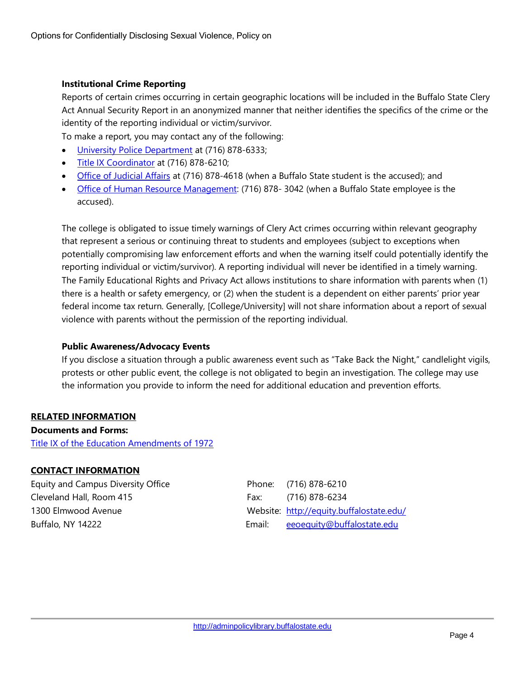## **Institutional Crime Reporting**

Reports of certain crimes occurring in certain geographic locations will be included in the Buffalo State Clery Act Annual Security Report in an anonymized manner that neither identifies the specifics of the crime or the identity of the reporting individual or victim/survivor.

To make a report, you may contact any of the following:

- [University Police Department](http://police.buffalostate.edu/) at (716) 878-6333;
- [Title IX Coordinator](https://equity.buffalostate.edu/title-ix-compliance) at (716) 878-6210;
- Office [of Judicial Affairs](http://deanofstudents.buffalostate.edu/judicial-affairs) at (716) 878-4618 (when a Buffalo State student is the accused); and
- [Office of Human Resource Management:](http://hr.buffalostate.edu/) (716) 878- 3042 (when a Buffalo State employee is the accused).

The college is obligated to issue timely warnings of Clery Act crimes occurring within relevant geography that represent a serious or continuing threat to students and employees (subject to exceptions when potentially compromising law enforcement efforts and when the warning itself could potentially identify the reporting individual or victim/survivor). A reporting individual will never be identified in a timely warning. The Family Educational Rights and Privacy Act allows institutions to share information with parents when (1) there is a health or safety emergency, or (2) when the student is a dependent on either parents' prior year federal income tax return. Generally, [College/University] will not share information about a report of sexual violence with parents without the permission of the reporting individual.

#### **Public Awareness/Advocacy Events**

If you disclose a situation through a public awareness event such as "Take Back the Night," candlelight vigils, protests or other public event, the college is not obligated to begin an investigation. The college may use the information you provide to inform the need for additional education and prevention efforts.

## **RELATED INFORMATION**

**Documents and Forms:** [Title IX of the Education Amendments of 1972](https://equity.buffalostate.edu/sites/equity.buffalostate.edu/files/uploads/Documents/title%20compliance/titleixlettersize_final2015jf.pdf)

## **CONTACT INFORMATION**

Equity and Campus Diversity Office **Phone:** (716) 878-6210 Cleveland Hall, Room 415 Fax: (716) 878-6234

1300 Elmwood Avenue Website:<http://equity.buffalostate.edu/> Buffalo, NY 14222 Email: [eeoequity@buffalostate.edu](mailto:eeoequity@buffalostate.edu)